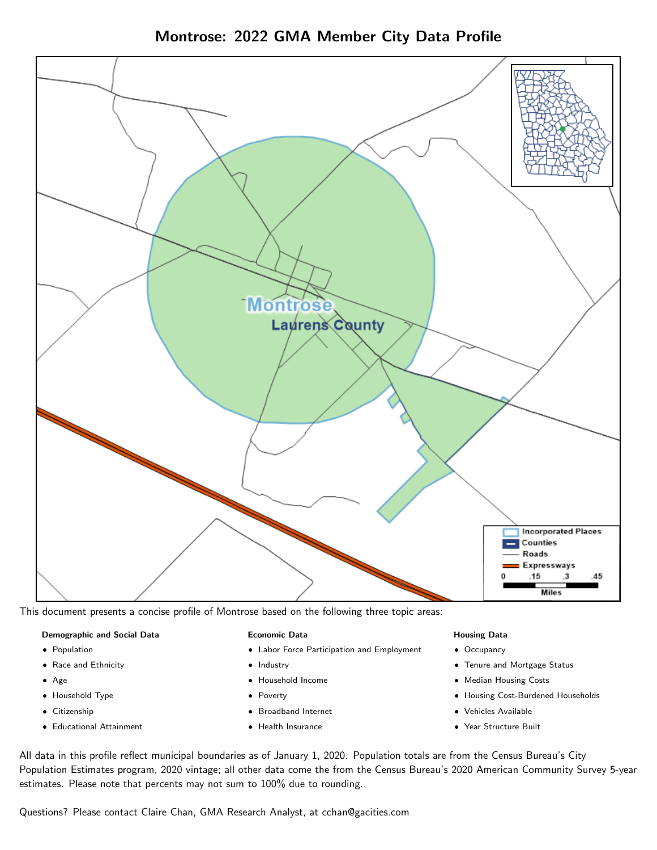Montrose: 2022 GMA Member City Data Profile



This document presents a concise profile of Montrose based on the following three topic areas:

#### Demographic and Social Data

- **•** Population
- Race and Ethnicity
- Age
- Household Type
- **Citizenship**
- Educational Attainment

#### Economic Data

- Labor Force Participation and Employment
- Industry
- Household Income
- Poverty
- Broadband Internet
- Health Insurance

#### Housing Data

- Occupancy
- Tenure and Mortgage Status
- Median Housing Costs
- Housing Cost-Burdened Households
- Vehicles Available
- Year Structure Built

All data in this profile reflect municipal boundaries as of January 1, 2020. Population totals are from the Census Bureau's City Population Estimates program, 2020 vintage; all other data come the from the Census Bureau's 2020 American Community Survey 5-year estimates. Please note that percents may not sum to 100% due to rounding.

Questions? Please contact Claire Chan, GMA Research Analyst, at [cchan@gacities.com.](mailto:cchan@gacities.com)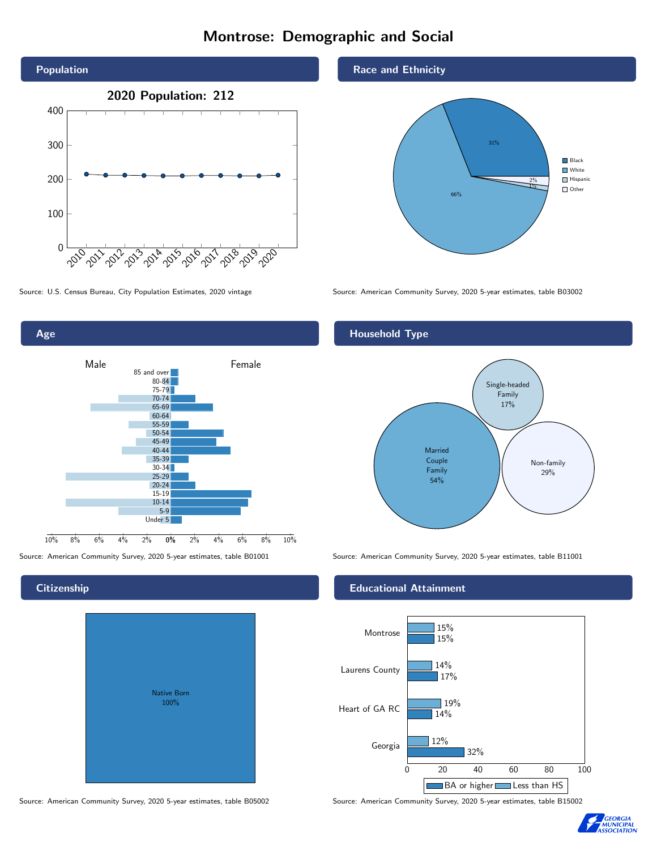# Montrose: Demographic and Social



Source: U.S. Census Bureau, City Population Estimates, 2020 vintage Source: American Community Survey, 2020 5-year estimates, table B03002



Source: American Community Survey, 2020 5-year estimates, table B01001 Source: American Community Survey, 2020 5-year estimates, table B11001

# **Citizenship**

| Native Born<br>100% |  |
|---------------------|--|

## Race and Ethnicity



# Household Type



## Educational Attainment



Source: American Community Survey, 2020 5-year estimates, table B05002 Source: American Community Survey, 2020 5-year estimates, table B15002

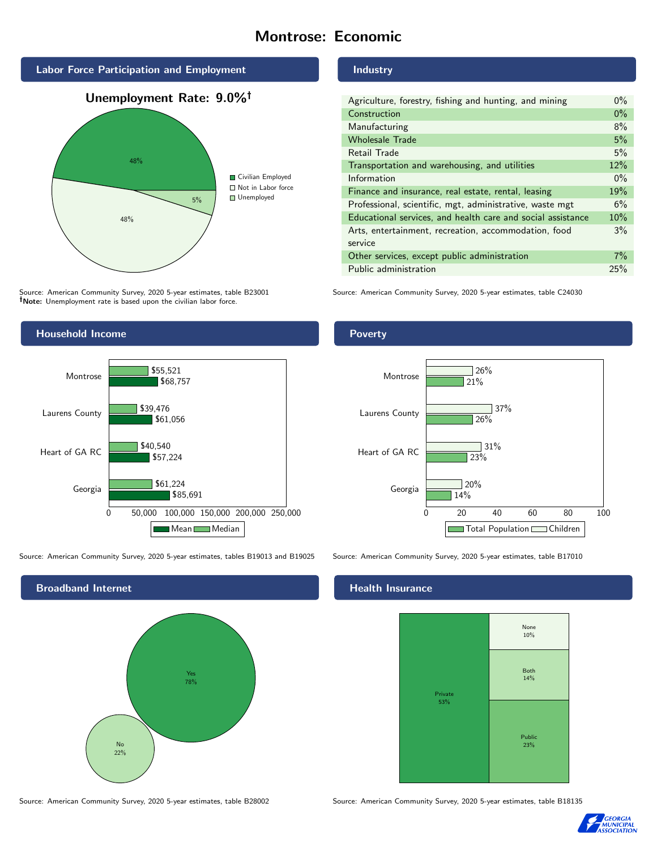# Montrose: Economic



Source: American Community Survey, 2020 5-year estimates, table B23001 Note: Unemployment rate is based upon the civilian labor force.

# Industry

| Agriculture, forestry, fishing and hunting, and mining      |       |
|-------------------------------------------------------------|-------|
| Construction                                                | $0\%$ |
| Manufacturing                                               | 8%    |
| <b>Wholesale Trade</b>                                      | 5%    |
| Retail Trade                                                | 5%    |
| Transportation and warehousing, and utilities               |       |
| Information                                                 | $0\%$ |
| Finance and insurance, real estate, rental, leasing         |       |
| Professional, scientific, mgt, administrative, waste mgt    |       |
| Educational services, and health care and social assistance |       |
| Arts, entertainment, recreation, accommodation, food        | 3%    |
| service                                                     |       |
| Other services, except public administration                |       |
| Public administration                                       |       |

Source: American Community Survey, 2020 5-year estimates, table C24030



Source: American Community Survey, 2020 5-year estimates, tables B19013 and B19025 Source: American Community Survey, 2020 5-year estimates, table B17010



# **Health Insurance**



Source: American Community Survey, 2020 5-year estimates, table B28002 Source: American Community Survey, 2020 5-year estimates, table B18135



## Poverty